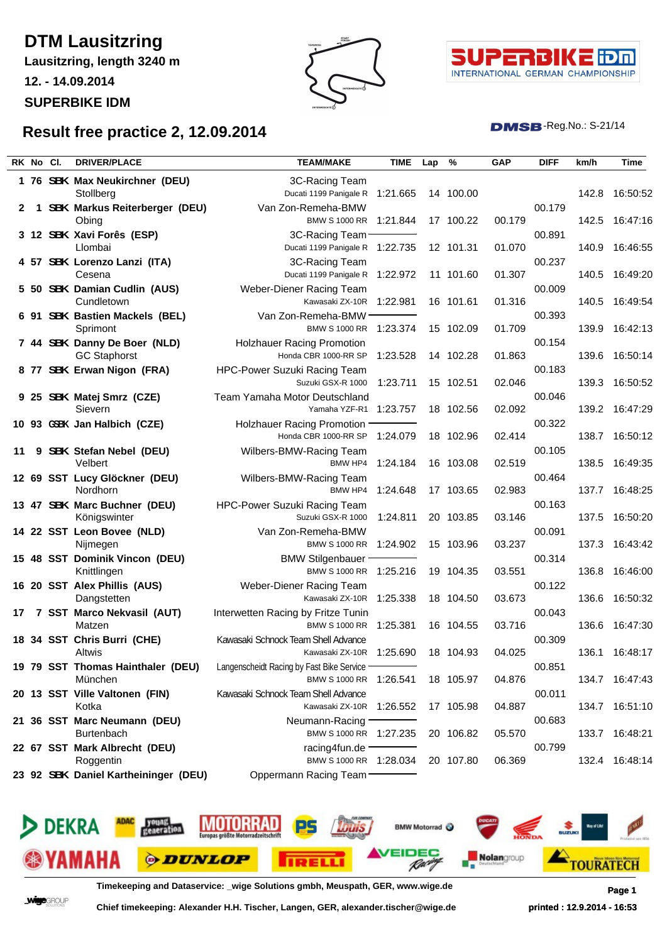## **DTM Lausitzring**

**Lausitzring, length 3240 m**

**12. - 14.09.2014**

**SUPERBIKE IDM**





 $DMSB$ -Reg.No.: S-21/14

## **Result free practice 2, 12.09.2014**

|    | RK No Cl. | <b>DRIVER/PLACE</b>                                                 | <b>TEAM/MAKE</b>                                                                                   | <b>TIME</b> | Lap | %         | <b>GAP</b> | <b>DIFF</b>      | km/h  | Time           |
|----|-----------|---------------------------------------------------------------------|----------------------------------------------------------------------------------------------------|-------------|-----|-----------|------------|------------------|-------|----------------|
|    |           | 1 76 SBK Max Neukirchner (DEU)<br>Stollberg                         | 3C-Racing Team<br>Ducati 1199 Panigale R                                                           | 1:21.665    |     | 14 100.00 |            |                  | 142.8 | 16:50:52       |
| 2  | 1         | <b>SBK Markus Reiterberger (DEU)</b><br>Obing                       | Van Zon-Remeha-BMW<br><b>BMW S 1000 RR</b>                                                         | 1:21.844    |     | 17 100.22 | 00.179     | 00.179           | 142.5 | 16:47:16       |
|    |           | 3 12 SBK Xavi Forês (ESP)<br>Llombai                                | 3C-Racing Team<br>Ducati 1199 Panigale R 1:22.735                                                  |             |     | 12 101.31 | 01.070     | 00.891           | 140.9 | 16:46:55       |
|    |           | 4 57 SBK Lorenzo Lanzi (ITA)<br>Cesena                              | 3C-Racing Team<br>Ducati 1199 Panigale R 1:22.972                                                  |             |     | 11 101.60 | 01.307     | 00.237           | 140.5 | 16:49:20       |
|    |           | 5 50 SBK Damian Cudlin (AUS)<br>Cundletown                          | Weber-Diener Racing Team<br>Kawasaki ZX-10R 1:22.981                                               |             |     | 16 101.61 | 01.316     | 00.009           | 140.5 | 16:49:54       |
|    |           | 6 91 SBK Bastien Mackels (BEL)<br>Sprimont                          | Van Zon-Remeha-BMW ·<br><b>BMW S 1000 RR</b>                                                       | 1:23.374    |     | 15 102.09 | 01.709     | 00.393           | 139.9 | 16:42:13       |
|    |           | 7 44 SBK Danny De Boer (NLD)<br><b>GC Staphorst</b>                 | <b>Holzhauer Racing Promotion</b><br>Honda CBR 1000-RR SP                                          | 1:23.528    |     | 14 102.28 | 01.863     | 00.154           | 139.6 | 16:50:14       |
|    |           | 8 77 SBK Erwan Nigon (FRA)                                          | HPC-Power Suzuki Racing Team<br>Suzuki GSX-R 1000                                                  | 1:23.711    |     | 15 102.51 | 02.046     | 00.183           | 139.3 | 16:50:52       |
|    |           | 9 25 SBK Matej Smrz (CZE)<br>Sievern                                | Team Yamaha Motor Deutschland<br>Yamaha YZF-R1                                                     | 1:23.757    |     | 18 102.56 | 02.092     | 00.046           | 139.2 | 16:47:29       |
|    |           | 10 93 GSBK Jan Halbich (CZE)                                        | Holzhauer Racing Promotion<br>Honda CBR 1000-RR SP                                                 | 1:24.079    |     | 18 102.96 | 02.414     | 00.322           | 138.7 | 16:50:12       |
| 11 | 9         | <b>SBK</b> Stefan Nebel (DEU)<br>Velbert                            | Wilbers-BMW-Racing Team<br>BMW HP4                                                                 | 1:24.184    |     | 16 103.08 | 02.519     | 00.105           | 138.5 | 16:49:35       |
|    |           | 12 69 SST Lucy Glöckner (DEU)<br>Nordhorn                           | Wilbers-BMW-Racing Team<br>BMW HP4                                                                 | 1:24.648    |     | 17 103.65 | 02.983     | 00.464           | 137.7 | 16:48:25       |
|    |           | 13 47 SBK Marc Buchner (DEU)<br>Königswinter                        | HPC-Power Suzuki Racing Team<br>Suzuki GSX-R 1000                                                  | 1:24.811    |     | 20 103.85 | 03.146     | 00.163<br>00.091 | 137.5 | 16:50:20       |
|    |           | 14 22 SST Leon Bovee (NLD)<br>Nijmegen                              | Van Zon-Remeha-BMW<br><b>BMW S 1000 RR</b>                                                         | 1:24.902    |     | 15 103.96 | 03.237     | 00.314           | 137.3 | 16:43:42       |
|    |           | 15 48 SST Dominik Vincon (DEU)<br>Knittlingen                       | <b>BMW Stilgenbauer</b><br>BMW S 1000 RR 1:25.216<br>Weber-Diener Racing Team                      |             |     | 19 104.35 | 03.551     | 00.122           | 136.8 | 16:46:00       |
|    |           | 16 20 SST Alex Phillis (AUS)<br>Dangstetten                         | Kawasaki ZX-10R                                                                                    | 1:25.338    |     | 18 104.50 | 03.673     | 00.043           | 136.6 | 16:50:32       |
| 17 |           | 7 SST Marco Nekvasil (AUT)<br>Matzen<br>18 34 SST Chris Burri (CHE) | Interwetten Racing by Fritze Tuning<br><b>BMW S 1000 RR</b><br>Kawasaki Schnock Team Shell Advance | 1:25.381    |     | 16 104.55 | 03.716     | 00.309           | 136.6 | 16:47:30       |
|    |           | Altwis<br>19 79 SST Thomas Hainthaler (DEU)                         | Kawasaki ZX-10R 1:25.690<br>Langenscheidt Racing by Fast Bike Service -                            |             |     | 18 104.93 | 04.025     | 00.851           | 136.1 | 16:48:17       |
|    |           | München<br>20 13 SST Ville Valtonen (FIN)                           | BMW S 1000 RR 1:26.541<br>Kawasaki Schnock Team Shell Advance                                      |             |     | 18 105.97 | 04.876     | 00.011           |       | 134.7 16:47:43 |
|    |           | Kotka<br>21 36 SST Marc Neumann (DEU)                               | Kawasaki ZX-10R 1:26.552<br>Neumann-Racing -                                                       |             |     | 17 105.98 | 04.887     | 00.683           |       | 134.7 16:51:10 |
|    |           | <b>Burtenbach</b><br>22 67 SST Mark Albrecht (DEU)                  | BMW S 1000 RR 1:27.235<br>racing4fun.de $-$                                                        |             |     | 20 106.82 | 05.570     | 00.799           |       | 133.7 16:48:21 |
|    |           | Roggentin<br>23 92 SBK Daniel Kartheininger (DEU)                   | BMW S 1000 RR 1:28.034<br>Oppermann Racing Team                                                    |             |     | 20 107.80 | 06.369     |                  |       | 132.4 16:48:14 |
|    |           |                                                                     |                                                                                                    |             |     |           |            |                  |       |                |



**Timekeeping and Dataservice: \_wige Solutions gmbh, Meuspath, GER, www.wige.de Page 1**

**WINCHOUP** 

**Chief timekeeping: Alexander H.H. Tischer, Langen, GER, alexander.tischer@wige.de printed : 12.9.2014 - 16:53**